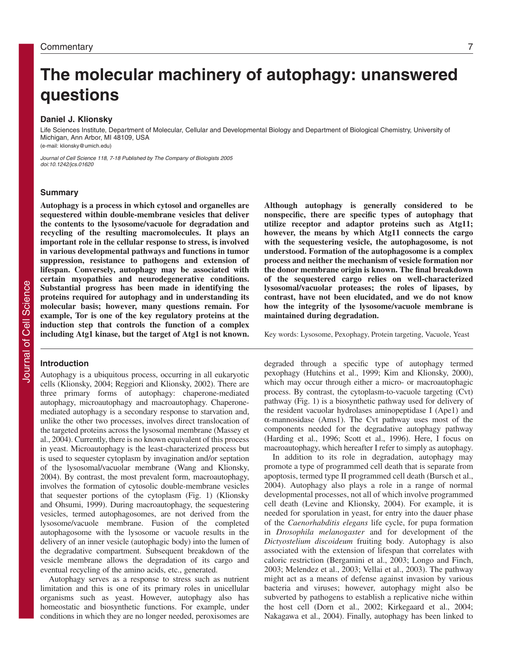# **The molecular machinery of autophagy: unanswered questions**

# **Daniel J. Klionsky**

Life Sciences Institute, Department of Molecular, Cellular and Developmental Biology and Department of Biological Chemistry, University of Michigan, Ann Arbor, MI 48109, USA (e-mail: klionsky@umich.edu)

Journal of Cell Science 118, 7-18 Published by The Company of Biologists 2005 doi:10.1242/jcs.01620

# **Summary**

**Autophagy is a process in which cytosol and organelles are sequestered within double-membrane vesicles that deliver the contents to the lysosome/vacuole for degradation and recycling of the resulting macromolecules. It plays an important role in the cellular response to stress, is involved in various developmental pathways and functions in tumor suppression, resistance to pathogens and extension of lifespan. Conversely, autophagy may be associated with certain myopathies and neurodegenerative conditions. Substantial progress has been made in identifying the proteins required for autophagy and in understanding its molecular basis; however, many questions remain. For example, Tor is one of the key regulatory proteins at the induction step that controls the function of a complex including Atg1 kinase, but the target of Atg1 is not known.**

#### **Introduction**

Autophagy is a ubiquitous process, occurring in all eukaryotic cells (Klionsky, 2004; Reggiori and Klionsky, 2002). There are three primary forms of autophagy: chaperone-mediated autophagy, microautophagy and macroautophagy. Chaperonemediated autophagy is a secondary response to starvation and, unlike the other two processes, involves direct translocation of the targeted proteins across the lysosomal membrane (Massey et al., 2004). Currently, there is no known equivalent of this process in yeast. Microautophagy is the least-characterized process but is used to sequester cytoplasm by invagination and/or septation of the lysosomal/vacuolar membrane (Wang and Klionsky, 2004). By contrast, the most prevalent form, macroautophagy, involves the formation of cytosolic double-membrane vesicles that sequester portions of the cytoplasm (Fig. 1) (Klionsky and Ohsumi, 1999). During macroautophagy, the sequestering vesicles, termed autophagosomes, are not derived from the lysosome/vacuole membrane. Fusion of the completed autophagosome with the lysosome or vacuole results in the delivery of an inner vesicle (autophagic body) into the lumen of the degradative compartment. Subsequent breakdown of the vesicle membrane allows the degradation of its cargo and eventual recycling of the amino acids, etc., generated.

Autophagy serves as a response to stress such as nutrient limitation and this is one of its primary roles in unicellular organisms such as yeast. However, autophagy also has homeostatic and biosynthetic functions. For example, under conditions in which they are no longer needed, peroxisomes are

**Although autophagy is generally considered to be nonspecific, there are specific types of autophagy that utilize receptor and adaptor proteins such as Atg11; however, the means by which Atg11 connects the cargo with the sequestering vesicle, the autophagosome, is not understood. Formation of the autophagosome is a complex process and neither the mechanism of vesicle formation nor the donor membrane origin is known. The final breakdown of the sequestered cargo relies on well-characterized lysosomal/vacuolar proteases; the roles of lipases, by contrast, have not been elucidated, and we do not know how the integrity of the lysosome/vacuole membrane is maintained during degradation.**

Key words: Lysosome, Pexophagy, Protein targeting, Vacuole, Yeast

degraded through a specific type of autophagy termed pexophagy (Hutchins et al., 1999; Kim and Klionsky, 2000), which may occur through either a micro- or macroautophagic process. By contrast, the cytoplasm-to-vacuole targeting (Cvt) pathway (Fig. 1) is a biosynthetic pathway used for delivery of the resident vacuolar hydrolases aminopeptidase I (Ape1) and α-mannosidase (Ams1). The Cvt pathway uses most of the components needed for the degradative autophagy pathway (Harding et al., 1996; Scott et al., 1996). Here, I focus on macroautophagy, which hereafter I refer to simply as autophagy.

In addition to its role in degradation, autophagy may promote a type of programmed cell death that is separate from apoptosis, termed type II programmed cell death (Bursch et al., 2004). Autophagy also plays a role in a range of normal developmental processes, not all of which involve programmed cell death (Levine and Klionsky, 2004). For example, it is needed for sporulation in yeast, for entry into the dauer phase of the *Caenorhabditis elegans* life cycle, for pupa formation in *Drosophila melanogaster* and for development of the *Dictyostelium discoideum* fruiting body. Autophagy is also associated with the extension of lifespan that correlates with caloric restriction (Bergamini et al., 2003; Longo and Finch, 2003; Melendez et al., 2003; Vellai et al., 2003). The pathway might act as a means of defense against invasion by various bacteria and viruses; however, autophagy might also be subverted by pathogens to establish a replicative niche within the host cell (Dorn et al., 2002; Kirkegaard et al., 2004; Nakagawa et al., 2004). Finally, autophagy has been linked to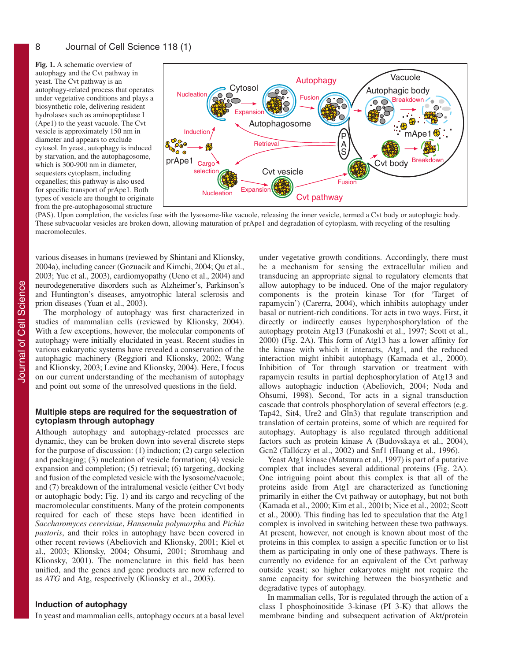**Fig. 1.** A schematic overview of autophagy and the Cvt pathway in yeast. The Cvt pathway is an autophagy-related process that operates under vegetative conditions and plays a biosynthetic role, delivering resident hydrolases such as aminopeptidase I (Ape1) to the yeast vacuole. The Cvt vesicle is approximately 150 nm in diameter and appears to exclude cytosol. In yeast, autophagy is induced by starvation, and the autophagosome, which is 300-900 nm in diameter, sequesters cytoplasm, including organelles; this pathway is also used for specific transport of prApe1. Both types of vesicle are thought to originate from the pre-autophagosomal structure



(PAS). Upon completion, the vesicles fuse with the lysosome-like vacuole, releasing the inner vesicle, termed a Cvt body or autophagic body. These subvacuolar vesicles are broken down, allowing maturation of prApe1 and degradation of cytoplasm, with recycling of the resulting macromolecules.

various diseases in humans (reviewed by Shintani and Klionsky, 2004a), including cancer (Gozuacik and Kimchi, 2004; Qu et al., 2003; Yue et al., 2003), cardiomyopathy (Ueno et al., 2004) and neurodegenerative disorders such as Alzheimer's, Parkinson's and Huntington's diseases, amyotrophic lateral sclerosis and prion diseases (Yuan et al., 2003).

The morphology of autophagy was first characterized in studies of mammalian cells (reviewed by Klionsky, 2004). With a few exceptions, however, the molecular components of autophagy were initially elucidated in yeast. Recent studies in various eukaryotic systems have revealed a conservation of the autophagic machinery (Reggiori and Klionsky, 2002; Wang and Klionsky, 2003; Levine and Klionsky, 2004). Here, I focus on our current understanding of the mechanism of autophagy and point out some of the unresolved questions in the field.

# **Multiple steps are required for the sequestration of cytoplasm through autophagy**

Although autophagy and autophagy-related processes are dynamic, they can be broken down into several discrete steps for the purpose of discussion: (1) induction; (2) cargo selection and packaging; (3) nucleation of vesicle formation; (4) vesicle expansion and completion; (5) retrieval; (6) targeting, docking and fusion of the completed vesicle with the lysosome/vacuole; and (7) breakdown of the intralumenal vesicle (either Cvt body or autophagic body; Fig. 1) and its cargo and recycling of the macromolecular constituents. Many of the protein components required for each of these steps have been identified in *Saccharomyces cerevisiae*, *Hansenula polymorpha* and *Pichia pastoris*, and their roles in autophagy have been covered in other recent reviews (Abeliovich and Klionsky, 2001; Kiel et al., 2003; Klionsky, 2004; Ohsumi, 2001; Stromhaug and Klionsky, 2001). The nomenclature in this field has been unified, and the genes and gene products are now referred to as *ATG* and Atg, respectively (Klionsky et al., 2003).

# **Induction of autophagy**

In yeast and mammalian cells, autophagy occurs at a basal level

under vegetative growth conditions. Accordingly, there must be a mechanism for sensing the extracellular milieu and transducing an appropriate signal to regulatory elements that allow autophagy to be induced. One of the major regulatory components is the protein kinase Tor (for 'Target of rapamycin') (Carerra, 2004), which inhibits autophagy under basal or nutrient-rich conditions. Tor acts in two ways. First, it directly or indirectly causes hyperphosphorylation of the autophagy protein Atg13 (Funakoshi et al., 1997; Scott et al., 2000) (Fig. 2A). This form of Atg13 has a lower affinity for the kinase with which it interacts, Atg1, and the reduced interaction might inhibit autophagy (Kamada et al., 2000). Inhibition of Tor through starvation or treatment with rapamycin results in partial dephosphorylation of Atg13 and allows autophagic induction (Abeliovich, 2004; Noda and Ohsumi, 1998). Second, Tor acts in a signal transduction cascade that controls phosphorylation of several effectors (e.g. Tap42, Sit4, Ure2 and Gln3) that regulate transcription and translation of certain proteins, some of which are required for autophagy. Autophagy is also regulated through additional factors such as protein kinase A (Budovskaya et al., 2004), Gcn2 (Tallóczy et al., 2002) and Snf1 (Huang et al., 1996).

Yeast Atg1 kinase (Matsuura et al., 1997) is part of a putative complex that includes several additional proteins (Fig. 2A). One intriguing point about this complex is that all of the proteins aside from Atg1 are characterized as functioning primarily in either the Cvt pathway or autophagy, but not both (Kamada et al., 2000; Kim et al., 2001b; Nice et al., 2002; Scott et al., 2000). This finding has led to speculation that the Atg1 complex is involved in switching between these two pathways. At present, however, not enough is known about most of the proteins in this complex to assign a specific function or to list them as participating in only one of these pathways. There is currently no evidence for an equivalent of the Cvt pathway outside yeast; so higher eukaryotes might not require the same capacity for switching between the biosynthetic and degradative types of autophagy.

In mammalian cells, Tor is regulated through the action of a class I phosphoinositide 3-kinase (PI 3-K) that allows the membrane binding and subsequent activation of Akt/protein

8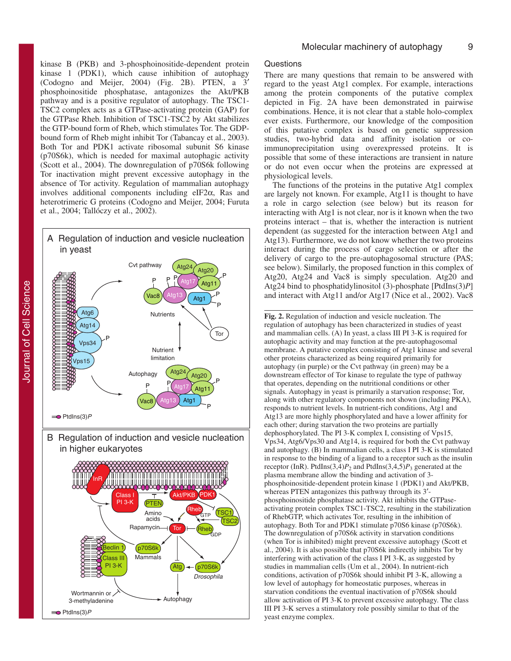kinase B (PKB) and 3-phosphoinositide-dependent protein kinase 1 (PDK1), which cause inhibition of autophagy (Codogno and Meijer, 2004) (Fig. 2B). PTEN, a 3′ phosphoinositide phosphatase, antagonizes the Akt/PKB pathway and is a positive regulator of autophagy. The TSC1- TSC2 complex acts as a GTPase-activating protein (GAP) for the GTPase Rheb. Inhibition of TSC1-TSC2 by Akt stabilizes the GTP-bound form of Rheb, which stimulates Tor. The GDPbound form of Rheb might inhibit Tor (Tabancay et al., 2003). Both Tor and PDK1 activate ribosomal subunit S6 kinase (p70S6k), which is needed for maximal autophagic activity (Scott et al., 2004). The downregulation of p70S6k following Tor inactivation might prevent excessive autophagy in the absence of Tor activity. Regulation of mammalian autophagy involves additional components including eIF2α, Ras and heterotrimeric G proteins (Codogno and Meijer, 2004; Furuta et al., 2004; Tallóczy et al., 2002).



B Regulation of induction and vesicle nucleation in higher eukaryotes



# **Questions**

There are many questions that remain to be answered with regard to the yeast Atg1 complex. For example, interactions among the protein components of the putative complex depicted in Fig. 2A have been demonstrated in pairwise combinations. Hence, it is not clear that a stable holo-complex ever exists. Furthermore, our knowledge of the composition of this putative complex is based on genetic suppression studies, two-hybrid data and affinity isolation or coimmunoprecipitation using overexpressed proteins. It is possible that some of these interactions are transient in nature or do not even occur when the proteins are expressed at physiological levels.

The functions of the proteins in the putative Atg1 complex are largely not known. For example, Atg11 is thought to have a role in cargo selection (see below) but its reason for interacting with Atg1 is not clear, nor is it known when the two proteins interact – that is, whether the interaction is nutrient dependent (as suggested for the interaction between Atg1 and Atg13). Furthermore, we do not know whether the two proteins interact during the process of cargo selection or after the delivery of cargo to the pre-autophagosomal structure (PAS; see below). Similarly, the proposed function in this complex of Atg20, Atg24 and Vac8 is simply speculation. Atg20 and Atg24 bind to phosphatidylinositol (3)-phosphate [PtdIns(3)*P*] and interact with Atg11 and/or Atg17 (Nice et al., 2002). Vac8

**Fig. 2.** Regulation of induction and vesicle nucleation. The regulation of autophagy has been characterized in studies of yeast and mammalian cells. (A) In yeast, a class III PI 3-K is required for autophagic activity and may function at the pre-autophagosomal membrane. A putative complex consisting of Atg1 kinase and several other proteins characterized as being required primarily for autophagy (in purple) or the Cvt pathway (in green) may be a downstream effector of Tor kinase to regulate the type of pathway that operates, depending on the nutritional conditions or other signals. Autophagy in yeast is primarily a starvation response; Tor, along with other regulatory components not shown (including PKA), responds to nutrient levels. In nutrient-rich conditions, Atg1 and Atg13 are more highly phosphorylated and have a lower affinity for each other; during starvation the two proteins are partially dephosphorylated. The PI 3-K complex I, consisting of Vps15, Vps34, Atg6/Vps30 and Atg14, is required for both the Cvt pathway and autophagy. (B) In mammalian cells, a class I PI 3-K is stimulated in response to the binding of a ligand to a receptor such as the insulin receptor (InR). PtdIns $(3,4)P_2$  and PtdIns $(3,4,5)P_3$  generated at the plasma membrane allow the binding and activation of 3 phosphoinositide-dependent protein kinase 1 (PDK1) and Akt/PKB, whereas PTEN antagonizes this pathway through its 3'phosphoinositide phosphatase activity. Akt inhibits the GTPaseactivating protein complex TSC1-TSC2, resulting in the stabilization of RhebGTP, which activates Tor, resulting in the inhibition of autophagy. Both Tor and PDK1 stimulate p70S6 kinase (p70S6k). The downregulation of p70S6k activity in starvation conditions (when Tor is inhibited) might prevent excessive autophagy (Scott et al., 2004). It is also possible that p70S6k indirectly inhibits Tor by interfering with activation of the class I PI 3-K, as suggested by studies in mammalian cells (Um et al., 2004). In nutrient-rich conditions, activation of p70S6k should inhibit PI 3-K, allowing a low level of autophagy for homeostatic purposes, whereas in starvation conditions the eventual inactivation of p70S6k should allow activation of PI 3-K to prevent excessive autophagy. The class III PI 3-K serves a stimulatory role possibly similar to that of the yeast enzyme complex.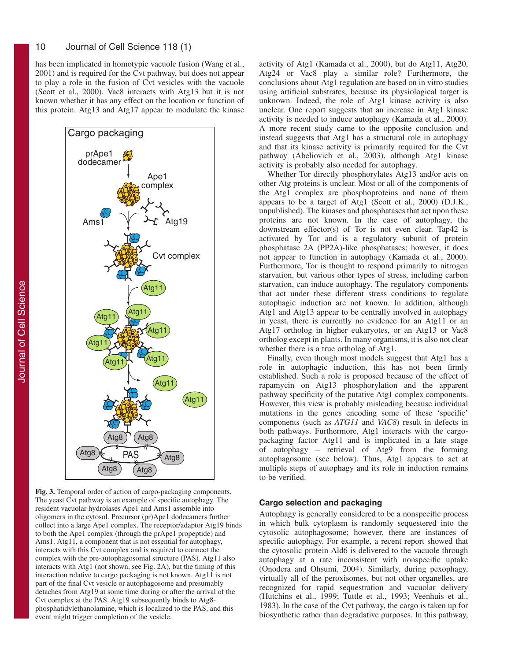has been implicated in homotypic vacuole fusion (Wang et al., 2001) and is required for the Cvt pathway, but does not appear to play a role in the fusion of Cvt vesicles with the vacuole (Scott et al., 2000). Vac8 interacts with Atg13 but it is not known whether it has any effect on the location or function of this protein. Atg13 and Atg17 appear to modulate the kinase



**Fig. 3.** Temporal order of action of cargo-packaging components. The yeast Cvt pathway is an example of specific autophagy. The resident vacuolar hydrolases Ape1 and Ams1 assemble into oligomers in the cytosol. Precursor (pr)Ape1 dodecamers further collect into a large Ape1 complex. The receptor/adaptor Atg19 binds to both the Ape1 complex (through the prApe1 propeptide) and Ams1. Atg11, a component that is not essential for autophagy, interacts with this Cvt complex and is required to connect the complex with the pre-autophagosomal structure (PAS). Atg11 also interacts with Atg1 (not shown, see Fig. 2A), but the timing of this interaction relative to cargo packaging is not known. Atg11 is not part of the final Cvt vesicle or autophagosome and presumably detaches from Atg19 at some time during or after the arrival of the Cvt complex at the PAS. Atg19 subsequently binds to Atg8 phosphatidylethanolamine, which is localized to the PAS, and this event might trigger completion of the vesicle.

activity of Atg1 (Kamada et al., 2000), but do Atg11, Atg20, Atg24 or Vac8 play a similar role? Furthermore, the conclusions about Atg1 regulation are based on in vitro studies using artificial substrates, because its physiological target is unknown. Indeed, the role of Atg1 kinase activity is also unclear. One report suggests that an increase in Atg1 kinase activity is needed to induce autophagy (Kamada et al., 2000). A more recent study came to the opposite conclusion and instead suggests that Atg1 has a structural role in autophagy and that its kinase activity is primarily required for the Cvt pathway (Abeliovich et al., 2003), although Atg1 kinase activity is probably also needed for autophagy.

Whether Tor directly phosphorylates Atg13 and/or acts on other Atg proteins is unclear. Most or all of the components of the Atg1 complex are phosphoproteins and none of them appears to be a target of Atg1 (Scott et al., 2000) (D.J.K., unpublished). The kinases and phosphatases that act upon these proteins are not known. In the case of autophagy, the downstream effector(s) of Tor is not even clear. Tap42 is activated by Tor and is a regulatory subunit of protein phosphatase 2A (PP2A)-like phosphatases; however, it does not appear to function in autophagy (Kamada et al., 2000). Furthermore, Tor is thought to respond primarily to nitrogen starvation, but various other types of stress, including carbon starvation, can induce autophagy. The regulatory components that act under these different stress conditions to regulate autophagic induction are not known. In addition, although Atg1 and Atg13 appear to be centrally involved in autophagy in yeast, there is currently no evidence for an Atg11 or an Atg17 ortholog in higher eukaryotes, or an Atg13 or Vac8 ortholog except in plants. In many organisms, it is also not clear whether there is a true ortholog of Atg1.

Finally, even though most models suggest that Atg1 has a role in autophagic induction, this has not been firmly established. Such a role is proposed because of the effect of rapamycin on Atg13 phosphorylation and the apparent pathway specificity of the putative Atg1 complex components. However, this view is probably misleading because individual mutations in the genes encoding some of these 'specific' components (such as *ATG11* and *VAC8*) result in defects in both pathways. Furthermore, Atg1 interacts with the cargopackaging factor Atg11 and is implicated in a late stage of autophagy – retrieval of Atg9 from the forming autophagosome (see below). Thus, Atg1 appears to act at multiple steps of autophagy and its role in induction remains to be verified.

#### **Cargo selection and packaging**

Autophagy is generally considered to be a nonspecific process in which bulk cytoplasm is randomly sequestered into the cytosolic autophagosome; however, there are instances of specific autophagy. For example, a recent report showed that the cytosolic protein Ald6 is delivered to the vacuole through autophagy at a rate inconsistent with nonspecific uptake (Onodera and Ohsumi, 2004). Similarly, during pexophagy, virtually all of the peroxisomes, but not other organelles, are recognized for rapid sequestration and vacuolar delivery (Hutchins et al., 1999; Tuttle et al., 1993; Veenhuis et al., 1983). In the case of the Cvt pathway, the cargo is taken up for biosynthetic rather than degradative purposes. In this pathway,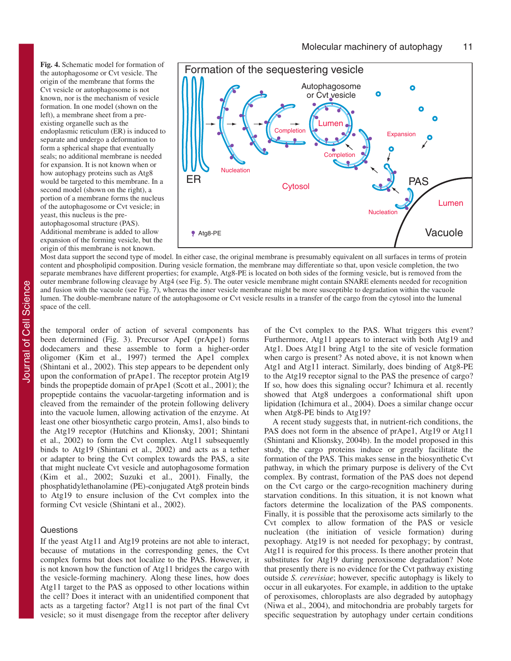**Fig. 4.** Schematic model for formation of the autophagosome or Cvt vesicle. The origin of the membrane that forms the Cvt vesicle or autophagosome is not known, nor is the mechanism of vesicle formation. In one model (shown on the left), a membrane sheet from a preexisting organelle such as the endoplasmic reticulum (ER) is induced to separate and undergo a deformation to form a spherical shape that eventually seals; no additional membrane is needed for expansion. It is not known when or how autophagy proteins such as Atg8 would be targeted to this membrane. In a second model (shown on the right), a portion of a membrane forms the nucleus of the autophagosome or Cvt vesicle; in yeast, this nucleus is the preautophagosomal structure (PAS). Additional membrane is added to allow expansion of the forming vesicle, but the origin of this membrane is not known.



Most data support the second type of model. In either case, the original membrane is presumably equivalent on all surfaces in terms of protein content and phospholipid composition. During vesicle formation, the membrane may differentiate so that, upon vesicle completion, the two separate membranes have different properties; for example, Atg8-PE is located on both sides of the forming vesicle, but is removed from the outer membrane following cleavage by Atg4 (see Fig. 5). The outer vesicle membrane might contain SNARE elements needed for recognition and fusion with the vacuole (see Fig. 7), whereas the inner vesicle membrane might be more susceptible to degradation within the vacuole lumen. The double-membrane nature of the autophagosome or Cvt vesicle results in a transfer of the cargo from the cytosol into the lumenal space of the cell.

the temporal order of action of several components has been determined (Fig. 3). Precursor ApeI (prApe1) forms dodecamers and these assemble to form a higher-order oligomer (Kim et al., 1997) termed the Ape1 complex (Shintani et al., 2002). This step appears to be dependent only upon the conformation of prApe1. The receptor protein Atg19 binds the propeptide domain of prApe1 (Scott et al., 2001); the propeptide contains the vacuolar-targeting information and is cleaved from the remainder of the protein following delivery into the vacuole lumen, allowing activation of the enzyme. At least one other biosynthetic cargo protein, Ams1, also binds to the Atg19 receptor (Hutchins and Klionsky, 2001; Shintani et al., 2002) to form the Cvt complex. Atg11 subsequently binds to Atg19 (Shintani et al., 2002) and acts as a tether or adapter to bring the Cvt complex towards the PAS, a site that might nucleate Cvt vesicle and autophagosome formation (Kim et al., 2002; Suzuki et al., 2001). Finally, the phosphatidylethanolamine (PE)-conjugated Atg8 protein binds to Atg19 to ensure inclusion of the Cvt complex into the forming Cvt vesicle (Shintani et al., 2002).

#### **Questions**

If the yeast Atg11 and Atg19 proteins are not able to interact, because of mutations in the corresponding genes, the Cvt complex forms but does not localize to the PAS. However, it is not known how the function of Atg11 bridges the cargo with the vesicle-forming machinery. Along these lines, how does Atg11 target to the PAS as opposed to other locations within the cell? Does it interact with an unidentified component that acts as a targeting factor? Atg11 is not part of the final Cvt vesicle; so it must disengage from the receptor after delivery of the Cvt complex to the PAS. What triggers this event? Furthermore, Atg11 appears to interact with both Atg19 and Atg1. Does Atg11 bring Atg1 to the site of vesicle formation when cargo is present? As noted above, it is not known when Atg1 and Atg11 interact. Similarly, does binding of Atg8-PE to the Atg19 receptor signal to the PAS the presence of cargo? If so, how does this signaling occur? Ichimura et al. recently showed that Atg8 undergoes a conformational shift upon lipidation (Ichimura et al., 2004). Does a similar change occur when Atg8-PE binds to Atg19?

A recent study suggests that, in nutrient-rich conditions, the PAS does not form in the absence of prApe1, Atg19 or Atg11 (Shintani and Klionsky, 2004b). In the model proposed in this study, the cargo proteins induce or greatly facilitate the formation of the PAS. This makes sense in the biosynthetic Cvt pathway, in which the primary purpose is delivery of the Cvt complex. By contrast, formation of the PAS does not depend on the Cvt cargo or the cargo-recognition machinery during starvation conditions. In this situation, it is not known what factors determine the localization of the PAS components. Finally, it is possible that the peroxisome acts similarly to the Cvt complex to allow formation of the PAS or vesicle nucleation (the initiation of vesicle formation) during pexophagy. Atg19 is not needed for pexophagy; by contrast, Atg11 is required for this process. Is there another protein that substitutes for Atg19 during peroxisome degradation? Note that presently there is no evidence for the Cvt pathway existing outside *S. cerevisiae*; however, specific autophagy is likely to occur in all eukaryotes. For example, in addition to the uptake of peroxisomes, chloroplasts are also degraded by autophagy (Niwa et al., 2004), and mitochondria are probably targets for specific sequestration by autophagy under certain conditions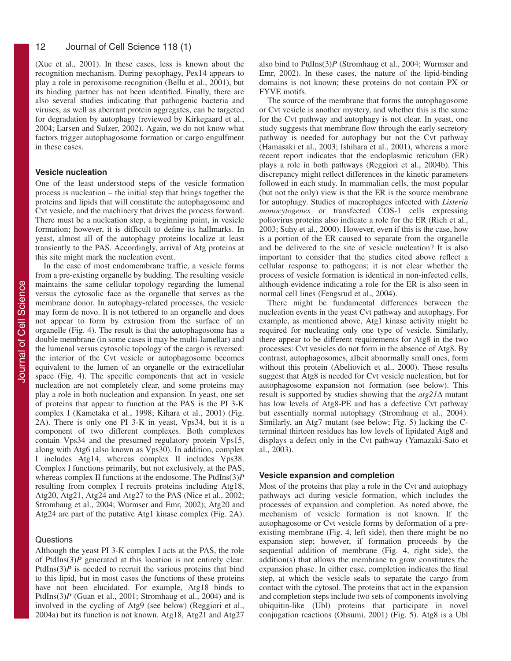(Xue et al., 2001). In these cases, less is known about the recognition mechanism. During pexophagy, Pex14 appears to play a role in peroxisome recognition (Bellu et al., 2001), but its binding partner has not been identified. Finally, there are also several studies indicating that pathogenic bacteria and viruses, as well as aberrant protein aggregates, can be targeted for degradation by autophagy (reviewed by Kirkegaard et al., 2004; Larsen and Sulzer, 2002). Again, we do not know what factors trigger autophagosome formation or cargo engulfment in these cases.

# **Vesicle nucleation**

One of the least understood steps of the vesicle formation process is nucleation – the initial step that brings together the proteins and lipids that will constitute the autophagosome and Cvt vesicle, and the machinery that drives the process forward. There must be a nucleation step, a beginning point, in vesicle formation; however, it is difficult to define its hallmarks. In yeast, almost all of the autophagy proteins localize at least transiently to the PAS. Accordingly, arrival of Atg proteins at this site might mark the nucleation event.

In the case of most endomembrane traffic, a vesicle forms from a pre-existing organelle by budding. The resulting vesicle maintains the same cellular topology regarding the lumenal versus the cytosolic face as the organelle that serves as the membrane donor. In autophagy-related processes, the vesicle may form de novo. It is not tethered to an organelle and does not appear to form by extrusion from the surface of an organelle (Fig. 4). The result is that the autophagosome has a double membrane (in some cases it may be multi-lamellar) and the lumenal versus cytosolic topology of the cargo is reversed: the interior of the Cvt vesicle or autophagosome becomes equivalent to the lumen of an organelle or the extracellular space (Fig. 4). The specific components that act in vesicle nucleation are not completely clear, and some proteins may play a role in both nucleation and expansion. In yeast, one set of proteins that appear to function at the PAS is the PI 3-K complex I (Kametaka et al., 1998; Kihara et al., 2001) (Fig. 2A). There is only one PI 3-K in yeast, Vps34, but it is a component of two different complexes. Both complexes contain Vps34 and the presumed regulatory protein Vps15, along with Atg6 (also known as Vps30). In addition, complex I includes Atg14, whereas complex II includes Vps38. Complex I functions primarily, but not exclusively, at the PAS, whereas complex II functions at the endosome. The PtdIns(3)*P* resulting from complex I recruits proteins including Atg18, Atg20, Atg21, Atg24 and Atg27 to the PAS (Nice et al., 2002; Stromhaug et al., 2004; Wurmser and Emr, 2002); Atg20 and Atg24 are part of the putative Atg1 kinase complex (Fig. 2A).

# **Questions**

Although the yeast PI 3-K complex I acts at the PAS, the role of PtdIns(3)*P* generated at this location is not entirely clear. PtdIns(3)*P* is needed to recruit the various proteins that bind to this lipid, but in most cases the functions of these proteins have not been elucidated. For example, Atg18 binds to PtdIns(3)P (Guan et al., 2001; Stromhaug et al., 2004) and is involved in the cycling of Atg9 (see below) (Reggiori et al., 2004a) but its function is not known. Atg18, Atg21 and Atg27 also bind to PtdIns(3)*P* (Stromhaug et al., 2004; Wurmser and Emr, 2002). In these cases, the nature of the lipid-binding domains is not known; these proteins do not contain PX or FYVE motifs.

The source of the membrane that forms the autophagosome or Cvt vesicle is another mystery, and whether this is the same for the Cvt pathway and autophagy is not clear. In yeast, one study suggests that membrane flow through the early secretory pathway is needed for autophagy but not the Cvt pathway (Hamasaki et al., 2003; Ishihara et al., 2001), whereas a more recent report indicates that the endoplasmic reticulum (ER) plays a role in both pathways (Reggiori et al., 2004b). This discrepancy might reflect differences in the kinetic parameters followed in each study. In mammalian cells, the most popular (but not the only) view is that the ER is the source membrane for autophagy. Studies of macrophages infected with *Listeria monocytogenes* or transfected COS-1 cells expressing poliovirus proteins also indicate a role for the ER (Rich et al., 2003; Suhy et al., 2000). However, even if this is the case, how is a portion of the ER caused to separate from the organelle and be delivered to the site of vesicle nucleation? It is also important to consider that the studies cited above reflect a cellular response to pathogens; it is not clear whether the process of vesicle formation is identical in non-infected cells, although evidence indicating a role for the ER is also seen in normal cell lines (Fengsrud et al., 2004).

There might be fundamental differences between the nucleation events in the yeast Cvt pathway and autophagy. For example, as mentioned above, Atg1 kinase activity might be required for nucleating only one type of vesicle. Similarly, there appear to be different requirements for Atg8 in the two processes: Cvt vesicles do not form in the absence of Atg8. By contrast, autophagosomes, albeit abnormally small ones, form without this protein (Abeliovich et al., 2000). These results suggest that Atg8 is needed for Cvt vesicle nucleation, but for autophagosome expansion not formation (see below). This result is supported by studies showing that the *atg21*∆ mutant has low levels of Atg8-PE and has a defective Cvt pathway but essentially normal autophagy (Stromhaug et al., 2004). Similarly, an Atg7 mutant (see below; Fig. 5) lacking the Cterminal thirteen residues has low levels of lipidated Atg8 and displays a defect only in the Cvt pathway (Yamazaki-Sato et al., 2003).

#### **Vesicle expansion and completion**

Most of the proteins that play a role in the Cvt and autophagy pathways act during vesicle formation, which includes the processes of expansion and completion. As noted above, the mechanism of vesicle formation is not known. If the autophagosome or Cvt vesicle forms by deformation of a preexisting membrane (Fig. 4, left side), then there might be no expansion step; however, if formation proceeds by the sequential addition of membrane (Fig. 4, right side), the addition(s) that allows the membrane to grow constitutes the expansion phase. In either case, completion indicates the final step, at which the vesicle seals to separate the cargo from contact with the cytosol. The proteins that act in the expansion and completion steps include two sets of components involving ubiquitin-like (Ubl) proteins that participate in novel conjugation reactions (Ohsumi, 2001) (Fig. 5). Atg8 is a Ubl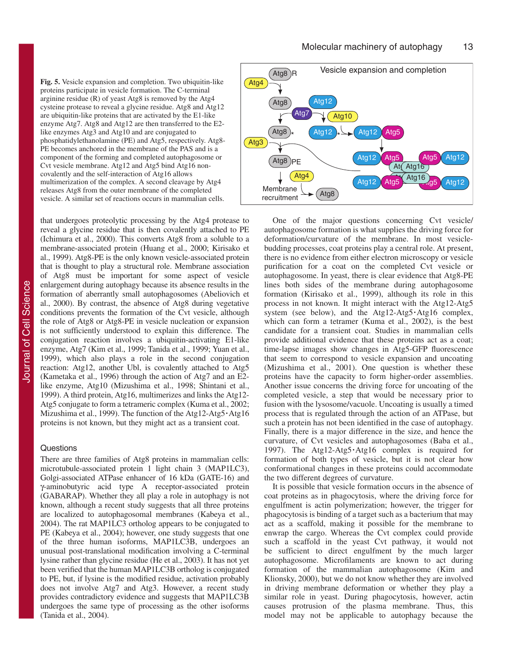**Fig. 5.** Vesicle expansion and completion. Two ubiquitin-like proteins participate in vesicle formation. The C-terminal arginine residue (R) of yeast Atg8 is removed by the Atg4 cysteine protease to reveal a glycine residue. Atg8 and Atg12 are ubiquitin-like proteins that are activated by the E1-like enzyme Atg7. Atg8 and Atg12 are then transferred to the E2 like enzymes Atg3 and Atg10 and are conjugated to phosphatidylethanolamine (PE) and Atg5, respectively. Atg8- PE becomes anchored in the membrane of the PAS and is a component of the forming and completed autophagosome or Cvt vesicle membrane. Atg12 and Atg5 bind Atg16 noncovalently and the self-interaction of Atg16 allows multimerization of the complex. A second cleavage by Atg4 releases Atg8 from the outer membrane of the completed vesicle. A similar set of reactions occurs in mammalian cells.

that undergoes proteolytic processing by the Atg4 protease to reveal a glycine residue that is then covalently attached to PE (Ichimura et al., 2000). This converts Atg8 from a soluble to a membrane-associated protein (Huang et al., 2000; Kirisako et al., 1999). Atg8-PE is the only known vesicle-associated protein that is thought to play a structural role. Membrane association of Atg8 must be important for some aspect of vesicle enlargement during autophagy because its absence results in the formation of aberrantly small autophagosomes (Abeliovich et al., 2000). By contrast, the absence of Atg8 during vegetative conditions prevents the formation of the Cvt vesicle, although the role of Atg8 or Atg8-PE in vesicle nucleation or expansion is not sufficiently understood to explain this difference. The conjugation reaction involves a ubiquitin-activating E1-like enzyme, Atg7 (Kim et al., 1999; Tanida et al., 1999; Yuan et al., 1999), which also plays a role in the second conjugation reaction: Atg12, another Ubl, is covalently attached to Atg5 (Kametaka et al., 1996) through the action of Atg7 and an E2 like enzyme, Atg10 (Mizushima et al., 1998; Shintani et al., 1999). A third protein, Atg16, multimerizes and links the Atg12- Atg5 conjugate to form a tetrameric complex (Kuma et al., 2002; Mizushima et al., 1999). The function of the Atg12-Atg5**·**Atg16 proteins is not known, but they might act as a transient coat.

# **Questions**

There are three families of Atg8 proteins in mammalian cells: microtubule-associated protein 1 light chain 3 (MAP1LC3), Golgi-associated ATPase enhancer of 16 kDa (GATE-16) and γ-aminobutyric acid type A receptor-associated protein (GABARAP). Whether they all play a role in autophagy is not known, although a recent study suggests that all three proteins are localized to autophagosomal membranes (Kabeya et al., 2004). The rat MAP1LC3 ortholog appears to be conjugated to PE (Kabeya et al., 2004); however, one study suggests that one of the three human isoforms, MAP1LC3B, undergoes an unusual post-translational modification involving a C-terminal lysine rather than glycine residue (He et al., 2003). It has not yet been verified that the human MAP1LC3B ortholog is conjugated to PE, but, if lysine is the modified residue, activation probably does not involve Atg7 and Atg3. However, a recent study provides contradictory evidence and suggests that MAP1LC3B undergoes the same type of processing as the other isoforms (Tanida et al., 2004).



One of the major questions concerning Cvt vesicle/ autophagosome formation is what supplies the driving force for deformation/curvature of the membrane. In most vesiclebudding processes, coat proteins play a central role. At present, there is no evidence from either electron microscopy or vesicle purification for a coat on the completed Cvt vesicle or autophagosome. In yeast, there is clear evidence that Atg8-PE lines both sides of the membrane during autophagosome formation (Kirisako et al., 1999), although its role in this process in not known. It might interact with the Atg12-Atg5 system (see below), and the Atg12-Atg5**·**Atg16 complex, which can form a tetramer (Kuma et al., 2002), is the best candidate for a transient coat. Studies in mammalian cells provide additional evidence that these proteins act as a coat; time-lapse images show changes in Atg5-GFP fluorescence that seem to correspond to vesicle expansion and uncoating (Mizushima et al., 2001). One question is whether these proteins have the capacity to form higher-order assemblies. Another issue concerns the driving force for uncoating of the completed vesicle, a step that would be necessary prior to fusion with the lysosome/vacuole. Uncoating is usually a timed process that is regulated through the action of an ATPase, but such a protein has not been identified in the case of autophagy. Finally, there is a major difference in the size, and hence the curvature, of Cvt vesicles and autophagosomes (Baba et al., 1997). The Atg12-Atg5**·**Atg16 complex is required for formation of both types of vesicle, but it is not clear how conformational changes in these proteins could accommodate the two different degrees of curvature.

It is possible that vesicle formation occurs in the absence of coat proteins as in phagocytosis, where the driving force for engulfment is actin polymerization; however, the trigger for phagocytosis is binding of a target such as a bacterium that may act as a scaffold, making it possible for the membrane to enwrap the cargo. Whereas the Cvt complex could provide such a scaffold in the yeast Cvt pathway, it would not be sufficient to direct engulfment by the much larger autophagosome. Microfilaments are known to act during formation of the mammalian autophagosome (Kim and Klionsky, 2000), but we do not know whether they are involved in driving membrane deformation or whether they play a similar role in yeast. During phagocytosis, however, actin causes protrusion of the plasma membrane. Thus, this model may not be applicable to autophagy because the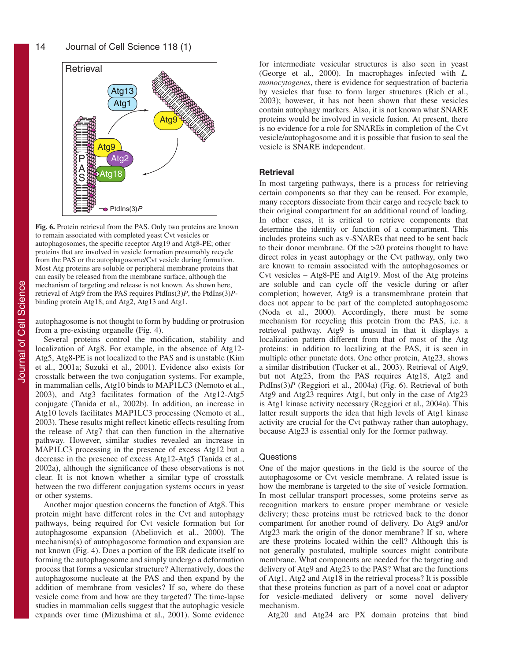

**Fig. 6.** Protein retrieval from the PAS. Only two proteins are known to remain associated with completed yeast Cvt vesicles or autophagosomes, the specific receptor Atg19 and Atg8-PE; other proteins that are involved in vesicle formation presumably recycle from the PAS or the autophagosome/Cvt vesicle during formation. Most Atg proteins are soluble or peripheral membrane proteins that can easily be released from the membrane surface, although the mechanism of targeting and release is not known. As shown here, retrieval of Atg9 from the PAS requires PtdIns(3)*P*, the PtdIns(3)*P*binding protein Atg18, and Atg2, Atg13 and Atg1.

autophagosome is not thought to form by budding or protrusion from a pre-existing organelle (Fig. 4).

Several proteins control the modification, stability and localization of Atg8. For example, in the absence of Atg12- Atg5, Atg8-PE is not localized to the PAS and is unstable (Kim et al., 2001a; Suzuki et al., 2001). Evidence also exists for crosstalk between the two conjugation systems. For example, in mammalian cells, Atg10 binds to MAP1LC3 (Nemoto et al., 2003), and Atg3 facilitates formation of the Atg12-Atg5 conjugate (Tanida et al., 2002b). In addition, an increase in Atg10 levels facilitates MAP1LC3 processing (Nemoto et al., 2003). These results might reflect kinetic effects resulting from the release of Atg7 that can then function in the alternative pathway. However, similar studies revealed an increase in MAP1LC3 processing in the presence of excess Atg12 but a decrease in the presence of excess Atg12-Atg5 (Tanida et al., 2002a), although the significance of these observations is not clear. It is not known whether a similar type of crosstalk between the two different conjugation systems occurs in yeast or other systems.

Another major question concerns the function of Atg8. This protein might have different roles in the Cvt and autophagy pathways, being required for Cvt vesicle formation but for autophagosome expansion (Abeliovich et al., 2000). The mechanism(s) of autophagosome formation and expansion are not known (Fig. 4). Does a portion of the ER dedicate itself to forming the autophagosome and simply undergo a deformation process that forms a vesicular structure? Alternatively, does the autophagosome nucleate at the PAS and then expand by the addition of membrane from vesicles? If so, where do these vesicle come from and how are they targeted? The time-lapse studies in mammalian cells suggest that the autophagic vesicle expands over time (Mizushima et al., 2001). Some evidence

for intermediate vesicular structures is also seen in yeast (George et al., 2000). In macrophages infected with *L. monocytogenes*, there is evidence for sequestration of bacteria by vesicles that fuse to form larger structures (Rich et al., 2003); however, it has not been shown that these vesicles contain autophagy markers. Also, it is not known what SNARE proteins would be involved in vesicle fusion. At present, there is no evidence for a role for SNAREs in completion of the Cvt vesicle/autophagosome and it is possible that fusion to seal the vesicle is SNARE independent.

#### **Retrieval**

In most targeting pathways, there is a process for retrieving certain components so that they can be reused. For example, many receptors dissociate from their cargo and recycle back to their original compartment for an additional round of loading. In other cases, it is critical to retrieve components that determine the identity or function of a compartment. This includes proteins such as v-SNAREs that need to be sent back to their donor membrane. Of the >20 proteins thought to have direct roles in yeast autophagy or the Cvt pathway, only two are known to remain associated with the autophagosomes or Cvt vesicles – Atg8-PE and Atg19. Most of the Atg proteins are soluble and can cycle off the vesicle during or after completion; however, Atg9 is a transmembrane protein that does not appear to be part of the completed autophagosome (Noda et al., 2000). Accordingly, there must be some mechanism for recycling this protein from the PAS, i.e. a retrieval pathway. Atg9 is unusual in that it displays a localization pattern different from that of most of the Atg proteins: in addition to localizing at the PAS, it is seen in multiple other punctate dots. One other protein, Atg23, shows a similar distribution (Tucker et al., 2003). Retrieval of Atg9, but not Atg23, from the PAS requires Atg18, Atg2 and PtdIns(3)*P* (Reggiori et al., 2004a) (Fig. 6). Retrieval of both Atg9 and Atg23 requires Atg1, but only in the case of Atg23 is Atg1 kinase activity necessary (Reggiori et al., 2004a). This latter result supports the idea that high levels of Atg1 kinase activity are crucial for the Cvt pathway rather than autophagy, because Atg23 is essential only for the former pathway.

#### **Questions**

One of the major questions in the field is the source of the autophagosome or Cvt vesicle membrane. A related issue is how the membrane is targeted to the site of vesicle formation. In most cellular transport processes, some proteins serve as recognition markers to ensure proper membrane or vesicle delivery; these proteins must be retrieved back to the donor compartment for another round of delivery. Do Atg9 and/or Atg23 mark the origin of the donor membrane? If so, where are these proteins located within the cell? Although this is not generally postulated, multiple sources might contribute membrane. What components are needed for the targeting and delivery of Atg9 and Atg23 to the PAS? What are the functions of Atg1, Atg2 and Atg18 in the retrieval process? It is possible that these proteins function as part of a novel coat or adaptor for vesicle-mediated delivery or some novel delivery mechanism.

Atg20 and Atg24 are PX domain proteins that bind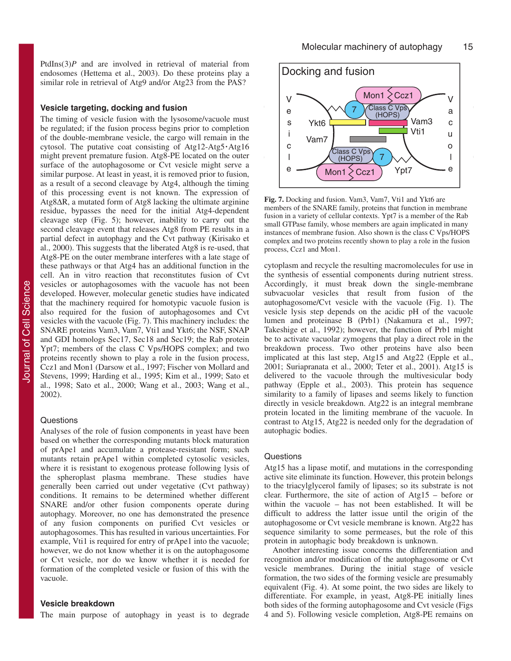PtdIns(3)*P* and are involved in retrieval of material from endosomes (Hettema et al., 2003). Do these proteins play a similar role in retrieval of Atg9 and/or Atg23 from the PAS?

#### **Vesicle targeting, docking and fusion**

The timing of vesicle fusion with the lysosome/vacuole must be regulated; if the fusion process begins prior to completion of the double-membrane vesicle, the cargo will remain in the cytosol. The putative coat consisting of Atg12-Atg5**·**Atg16 might prevent premature fusion. Atg8-PE located on the outer surface of the autophagosome or Cvt vesicle might serve a similar purpose. At least in yeast, it is removed prior to fusion, as a result of a second cleavage by Atg4, although the timing of this processing event is not known. The expression of Atg8∆R, a mutated form of Atg8 lacking the ultimate arginine residue, bypasses the need for the initial Atg4-dependent cleavage step (Fig. 5); however, inability to carry out the second cleavage event that releases Atg8 from PE results in a partial defect in autophagy and the Cvt pathway (Kirisako et al., 2000). This suggests that the liberated Atg8 is re-used, that Atg8-PE on the outer membrane interferes with a late stage of these pathways or that Atg4 has an additional function in the cell. An in vitro reaction that reconstitutes fusion of Cvt vesicles or autophagosomes with the vacuole has not been developed. However, molecular genetic studies have indicated that the machinery required for homotypic vacuole fusion is also required for the fusion of autophagosomes and Cvt vesicles with the vacuole (Fig. 7). This machinery includes: the SNARE proteins Vam3, Vam7, Vti1 and Ykt6; the NSF, SNAP and GDI homologs Sec17, Sec18 and Sec19; the Rab protein Ypt7; members of the class C Vps/HOPS complex; and two proteins recently shown to play a role in the fusion process, Ccz1 and Mon1 (Darsow et al., 1997; Fischer von Mollard and Stevens, 1999; Harding et al., 1995; Kim et al., 1999; Sato et al., 1998; Sato et al., 2000; Wang et al., 2003; Wang et al., 2002).

#### **Questions**

Analyses of the role of fusion components in yeast have been based on whether the corresponding mutants block maturation of prApe1 and accumulate a protease-resistant form; such mutants retain prApe1 within completed cytosolic vesicles, where it is resistant to exogenous protease following lysis of the spheroplast plasma membrane. These studies have generally been carried out under vegetative (Cvt pathway) conditions. It remains to be determined whether different SNARE and/or other fusion components operate during autophagy. Moreover, no one has demonstrated the presence of any fusion components on purified Cvt vesicles or autophagosomes. This has resulted in various uncertainties. For example, Vti1 is required for entry of prApe1 into the vacuole; however, we do not know whether it is on the autophagosome or Cvt vesicle, nor do we know whether it is needed for formation of the completed vesicle or fusion of this with the vacuole.

#### **Vesicle breakdown**

The main purpose of autophagy in yeast is to degrade



**Fig. 7.** Docking and fusion. Vam3, Vam7, Vti1 and Ykt6 are members of the SNARE family, proteins that function in membrane fusion in a variety of cellular contexts. Ypt7 is a member of the Rab small GTPase family, whose members are again implicated in many instances of membrane fusion. Also shown is the class C Vps/HOPS complex and two proteins recently shown to play a role in the fusion process, Ccz1 and Mon1.

cytoplasm and recycle the resulting macromolecules for use in the synthesis of essential components during nutrient stress. Accordingly, it must break down the single-membrane subvacuolar vesicles that result from fusion of the autophagosome/Cvt vesicle with the vacuole (Fig. 1). The vesicle lysis step depends on the acidic pH of the vacuole lumen and proteinase B (Prb1) (Nakamura et al., 1997; Takeshige et al., 1992); however, the function of Prb1 might be to activate vacuolar zymogens that play a direct role in the breakdown process. Two other proteins have also been implicated at this last step, Atg15 and Atg22 (Epple et al., 2001; Suriapranata et al., 2000; Teter et al., 2001). Atg15 is delivered to the vacuole through the multivesicular body pathway (Epple et al., 2003). This protein has sequence similarity to a family of lipases and seems likely to function directly in vesicle breakdown. Atg22 is an integral membrane protein located in the limiting membrane of the vacuole. In contrast to Atg15, Atg22 is needed only for the degradation of autophagic bodies.

#### Questions

Atg15 has a lipase motif, and mutations in the corresponding active site eliminate its function. However, this protein belongs to the triacylglycerol family of lipases; so its substrate is not clear. Furthermore, the site of action of Atg15 – before or within the vacuole – has not been established. It will be difficult to address the latter issue until the origin of the autophagosome or Cvt vesicle membrane is known. Atg22 has sequence similarity to some permeases, but the role of this protein in autophagic body breakdown is unknown.

Another interesting issue concerns the differentiation and recognition and/or modification of the autophagosome or Cvt vesicle membranes. During the initial stage of vesicle formation, the two sides of the forming vesicle are presumably equivalent (Fig. 4). At some point, the two sides are likely to differentiate. For example, in yeast, Atg8-PE initially lines both sides of the forming autophagosome and Cvt vesicle (Figs 4 and 5). Following vesicle completion, Atg8-PE remains on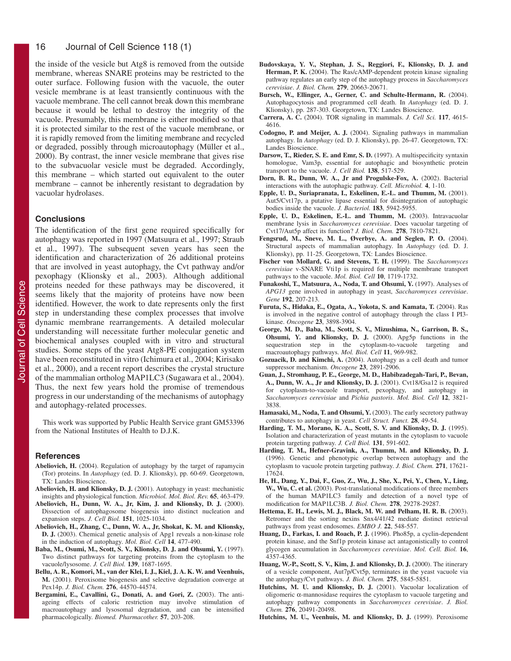#### 16 Journal of Cell Science 118 (1)

the inside of the vesicle but Atg8 is removed from the outside membrane, whereas SNARE proteins may be restricted to the outer surface. Following fusion with the vacuole, the outer vesicle membrane is at least transiently continuous with the vacuole membrane. The cell cannot break down this membrane because it would be lethal to destroy the integrity of the vacuole. Presumably, this membrane is either modified so that it is protected similar to the rest of the vacuole membrane, or it is rapidly removed from the limiting membrane and recycled or degraded, possibly through microautophagy (Müller et al., 2000). By contrast, the inner vesicle membrane that gives rise to the subvacuolar vesicle must be degraded. Accordingly, this membrane – which started out equivalent to the outer membrane – cannot be inherently resistant to degradation by vacuolar hydrolases.

# **Conclusions**

The identification of the first gene required specifically for autophagy was reported in 1997 (Matsuura et al., 1997; Straub et al., 1997). The subsequent seven years has seen the identification and characterization of 26 additional proteins that are involved in yeast autophagy, the Cvt pathway and/or pexophagy (Klionsky et al., 2003). Although additional proteins needed for these pathways may be discovered, it seems likely that the majority of proteins have now been identified. However, the work to date represents only the first step in understanding these complex processes that involve dynamic membrane rearrangements. A detailed molecular understanding will necessitate further molecular genetic and biochemical analyses coupled with in vitro and structural studies. Some steps of the yeast Atg8-PE conjugation system have been reconstituted in vitro (Ichimura et al., 2004; Kirisako et al., 2000), and a recent report describes the crystal structure of the mammalian ortholog MAP1LC3 (Sugawara et al., 2004). Thus, the next few years hold the promise of tremendous progress in our understanding of the mechanisms of autophagy and autophagy-related processes.

This work was supported by Public Health Service grant GM53396 from the National Institutes of Health to D.J.K.

#### **References**

- **Abeliovich, H.** (2004). Regulation of autophagy by the target of rapamycin (Tor) proteins. In *Autophagy* (ed. D. J. Klionsky), pp. 60-69. Georgetown, TX: Landes Bioscience.
- **Abeliovich, H. and Klionsky, D. J.** (2001). Autophagy in yeast: mechanistic insights and physiological function. *Microbiol. Mol. Biol. Rev.* **65**, 463-479.
- **Abeliovich, H., Dunn, W. A., Jr, Kim, J. and Klionsky, D. J.** (2000). Dissection of autophagosome biogenesis into distinct nucleation and expansion steps. *J. Cell Biol.* **151**, 1025-1034.
- **Abeliovich, H., Zhang, C., Dunn, W. A., Jr, Shokat, K. M. and Klionsky, D. J.** (2003). Chemical genetic analysis of Apg1 reveals a non-kinase role in the induction of autophagy. *Mol. Biol. Cell* **14**, 477-490.
- **Baba, M., Osumi, M., Scott, S. V., Klionsky, D. J. and Ohsumi, Y.** (1997). Two distinct pathways for targeting proteins from the cytoplasm to the vacuole/lysosome. *J. Cell Biol.* **139**, 1687-1695.
- **Bellu, A. R., Komori, M., van der Klei, I. J., Kiel, J. A. K. W. and Veenhuis, M.** (2001). Peroxisome biogenesis and selective degradation converge at Pex14p. *J. Biol. Chem.* **276**, 44570-44574.
- Bergamini, E., Cavallini, G., Donati, A. and Gori, Z. (2003). The antiageing effects of caloric restriction may involve stimulation of macroautophagy and lysosomal degradation, and can be intensified pharmacologically. *Biomed. Pharmacother.* **57**, 203-208.
- **Budovskaya, Y. V., Stephan, J. S., Reggiori, F., Klionsky, D. J. and** Herman, P. K. (2004). The Ras/cAMP-dependent protein kinase signaling pathway regulates an early step of the autophagy process in *Saccharomyces cerevisiae*. *J. Biol. Chem.* **279**, 20663-20671.
- Bursch, W., Ellinger, A., Gerner, C. and Schulte-Hermann, R. (2004). Autophagocytosis and programmed cell death. In *Autophagy* (ed. D. J. Klionsky), pp. 287-303. Georgetown, TX: Landes Bioscience.
- **Carrera, A. C.** (2004). TOR signaling in mammals. *J. Cell Sci.* **117**, 4615- 4616.
- **Codogno, P. and Meijer, A. J.** (2004). Signaling pathways in mammalian autophagy. In *Autophagy* (ed. D. J. Klionsky), pp. 26-47. Georgetown, TX: Landes Bioscience.
- **Darsow, T., Rieder, S. E. and Emr, S. D.** (1997). A multispecificity syntaxin homologue, Vam3p, essential for autophagic and biosynthetic protein transport to the vacuole. *J. Cell Biol.* **138**, 517-529.
- Dorn, B. R., Dunn, W. A., Jr and Progulske-Fox, A. (2002). Bacterial interactions with the autophagic pathway. *Cell. Microbiol.* **4**, 1-10.
- **Epple, U. D., Suriapranata, I., Eskelinen, E.-L. and Thumm, M.** (2001). Aut5/Cvt17p, a putative lipase essential for disintegration of autophagic bodies inside the vacuole. *J. Bacteriol.* **183**, 5942-5955.
- **Epple, U. D., Eskelinen, E.-L. and Thumm, M.** (2003). Intravacuolar membrane lysis in *Saccharomyces cerevisiae*. Does vacuolar targeting of Cvt17/Aut5p affect its function? *J. Biol. Chem.* **278**, 7810-7821.
- **Fengsrud, M., Sneve, M. L., Øverbye, A. and Seglen, P. O.** (2004). Structural aspects of mammalian autophagy. In *Autophagy* (ed. D. J. Klionsky), pp. 11-25. Georgetown, TX: Landes Bioscience.
- **Fischer von Mollard, G. and Stevens, T. H.** (1999). The *Saccharomyces cerevisiae* v-SNARE Vti1p is required for multiple membrane transport pathways to the vacuole. *Mol. Biol. Cell* **10**, 1719-1732.
- **Funakoshi, T., Matsuura, A., Noda, T. and Ohsumi, Y.** (1997). Analyses of *APG13* gene involved in autophagy in yeast, *Saccharomyces cerevisiae*. *Gene* **192**, 207-213.
- **Furuta, S., Hidaka, E., Ogata, A., Yokota, S. and Kamata, T.** (2004). Ras is involved in the negative control of autophagy through the class I PI3 kinase. *Oncogene* **23**, 3898-3904.
- **George, M. D., Baba, M., Scott, S. V., Mizushima, N., Garrison, B. S., Ohsumi, Y. and Klionsky, D. J.** (2000). Apg5p functions in the sequestration step in the cytoplasm-to-vacuole targeting and macroautophagy pathways. *Mol. Biol. Cell* **11**, 969-982.
- **Gozuacik, D. and Kimchi, A.** (2004). Autophagy as a cell death and tumor suppressor mechanism. *Oncogene* **23**, 2891-2906.
- **Guan, J., Stromhaug, P. E., George, M. D., Habibzadegah-Tari, P., Bevan, A., Dunn, W. A., Jr and Klionsky, D. J.** (2001). Cvt18/Gsa12 is required for cytoplasm-to-vacuole transport, pexophagy, and autophagy in *Saccharomyces cerevisiae* and *Pichia pastoris*. *Mol. Biol. Cell* **12**, 3821- 3838.
- Hamasaki, M., Noda, T. and Ohsumi, Y. (2003). The early secretory pathway contributes to autophagy in yeast. *Cell Struct. Funct.* **28**, 49-54.
- **Harding, T. M., Morano, K. A., Scott, S. V. and Klionsky, D. J.** (1995). Isolation and characterization of yeast mutants in the cytoplasm to vacuole protein targeting pathway. *J. Cell Biol.* **131**, 591-602.
- **Harding, T. M., Hefner-Gravink, A., Thumm, M. and Klionsky, D. J.** (1996). Genetic and phenotypic overlap between autophagy and the cytoplasm to vacuole protein targeting pathway. *J. Biol. Chem.* **271**, 17621- 17624.
- **He, H., Dang, Y., Dai, F., Guo, Z., Wu, J., She, X., Pei, Y., Chen, Y., Ling,** W., Wu, C. et al. (2003). Post-translational modifications of three members of the human MAP1LC3 family and detection of a novel type of modification for MAP1LC3B. *J. Biol. Chem.* **278**, 29278-29287.
- **Hettema, E. H., Lewis, M. J., Black, M. W. and Pelham, H. R. B.** (2003). Retromer and the sorting nexins Snx4/41/42 mediate distinct retrieval pathways from yeast endosomes. *EMBO J.* **22**, 548-557.
- **Huang, D., Farkas, I. and Roach, P. J.** (1996). Pho85p, a cyclin-dependent protein kinase, and the Snf1p protein kinase act antagonistically to control glycogen accumulation in *Saccharomyces cerevisiae*. *Mol. Cell. Biol.* **16**, 4357-4365.
- Huang, W.-P., Scott, S. V., Kim, J. and Klionsky, D. J. (2000). The itinerary of a vesicle component, Aut7p/Cvt5p, terminates in the yeast vacuole via the autophagy/Cvt pathways. *J. Biol. Chem.* **275**, 5845-5851.
- Hutchins, M. U. and Klionsky, D. J. (2001). Vacuolar localization of oligomeric α-mannosidase requires the cytoplasm to vacuole targeting and autophagy pathway components in *Saccharomyces cerevisiae*. *J. Biol. Chem.* **276**, 20491-20498.
- Hutchins, M. U., Veenhuis, M. and Klionsky, D. J. (1999). Peroxisome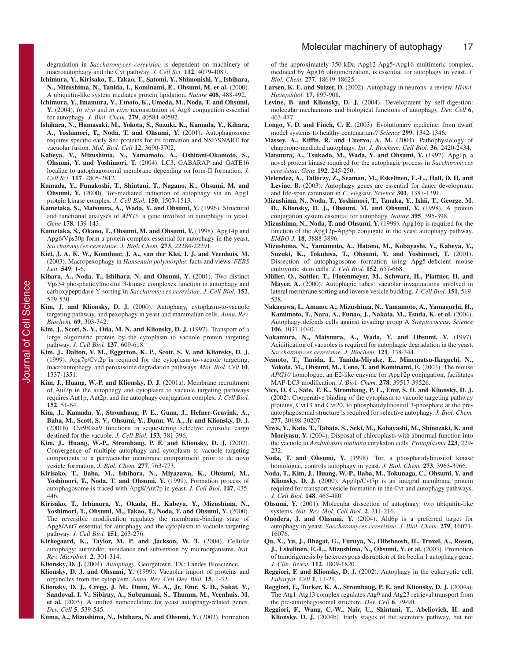degradation in *Saccharomyces cerevisiae* is dependent on machinery of macroautophagy and the Cvt pathway. *J. Cell Sci.* **112**, 4079-4087.

- **Ichimura, Y., Kirisako, T., Takao, T., Satomi, Y., Shimonishi, Y., Ishihara, N., Mizushima, N., Tanida, I., Kominami, E., Ohsumi, M. et al.** (2000). A ubiquitin-like system mediates protein lipidation. *Nature* **408**, 488-492.
- **Ichimura, Y., Imamura, Y., Emoto, K., Umeda, M., Noda, T. and Ohsumi, Y.** (2004). *In vivo* and *in vitro* reconstitution of Atg8 conjugation essential for autophagy. *J. Biol. Chem.* **279**, 40584-40592.
- **Ishihara, N., Hamasaki, M., Yokota, S., Suzuki, K., Kamada, Y., Kihara, A., Yoshimori, T., Noda, T. and Ohsumi, Y.** (2001). Autophagosome requires specific early Sec proteins for its formation and NSF/SNARE for vacuolar fusion. *Mol. Biol. Cell* **12**, 3690-3702.
- **Kabeya, Y., Mizushima, N., Yamamoto, A., Oshitani-Okamoto, S., Ohsumi, Y. and Yoshimori, T.** (2004). LC3, GABARAP and GATE16 localize to autophagosomal membrane depending on form-II formation. *J. Cell Sci.* **117**, 2805-2812.
- **Kamada, Y., Funakoshi, T., Shintani, T., Nagano, K., Ohsumi, M. and Ohsumi, Y.** (2000). Tor-mediated induction of autophagy via an Apg1 protein kinase complex. *J. Cell Biol.* **150**, 1507-1513.
- **Kametaka, S., Matsuura, A., Wada, Y. and Ohsumi, Y.** (1996). Structural and functional analyses of *APG5*, a gene involved in autophagy in yeast. *Gene* **178**, 139-143.
- **Kametaka, S., Okano, T., Ohsumi, M. and Ohsumi, Y.** (1998). Apg14p and Apg6/Vps30p form a protein complex essential for autophagy in the yeast, *Saccharomyces cerevisiae*. *J. Biol. Chem.* **273**, 22284-22291.
- **Kiel, J. A. K. W., Komduur, J. A., van der Klei, I. J. and Veenhuis, M.** (2003). Macropexophagy in *Hansenula polymorpha*: facts and views. *FEBS Lett.* **549**, 1-6.
- **Kihara, A., Noda, T., Ishihara, N. and Ohsumi, Y.** (2001). Two distinct Vps34 phosphatidylinositol 3-kinase complexes function in autophagy and carboxypeptidase Y sorting in *Saccharomyces cerevisiae*. *J. Cell Biol.* **152**, 519-530.
- **Kim, J. and Klionsky, D. J.** (2000). Autophagy, cytoplasm-to-vacuole targeting pathway, and pexophagy in yeast and mammalian cells. *Annu. Rev. Biochem.* **69**, 303-342.
- **Kim, J., Scott, S. V., Oda, M. N. and Klionsky, D. J.** (1997). Transport of a large oligomeric protein by the cytoplasm to vacuole protein targeting pathway. *J. Cell Biol.* **137**, 609-618.
- **Kim, J., Dalton, V. M., Eggerton, K. P., Scott, S. V. and Klionsky, D. J.** (1999). Apg7p/Cvt2p is required for the cytoplasm-to-vacuole targeting, macroautophagy, and peroxisome degradation pathways. *Mol. Biol. Cell* **10**, 1337-1351.
- **Kim, J., Huang, W.-P. and Klionsky, D. J.** (2001a). Membrane recruitment of Aut7p in the autophagy and cytoplasm to vacuole targeting pathways requires Aut1p, Aut2p, and the autophagy conjugation complex. *J. Cell Biol.* **152**, 51-64.
- **Kim, J., Kamada, Y., Stromhaug, P. E., Guan, J., Hefner-Gravink, A., Baba, M., Scott, S. V., Ohsumi, Y., Dunn, W. A., Jr and Klionsky, D. J.** (2001b). Cvt9/Gsa9 functions in sequestering selective cytosolic cargo destined for the vacuole. *J. Cell Biol.* **153**, 381-396.
- **Kim, J., Huang, W.-P., Stromhaug, P. E. and Klionsky, D. J.** (2002). Convergence of multiple autophagy and cytoplasm to vacuole targeting components to a perivacuolar membrane compartment prior to de novo vesicle formation. *J. Biol. Chem.* **277**, 763-773.
- **Kirisako, T., Baba, M., Ishihara, N., Miyazawa, K., Ohsumi, M.,** Yoshimori, T., Noda, T. and Ohsumi, Y. (1999). Formation process of autophagosome is traced with Apg8/Aut7p in yeast. *J. Cell Biol.* **147**, 435- 446.
- **Kirisako, T., Ichimura, Y., Okada, H., Kabeya, Y., Mizushima, N., Yoshimori, T., Ohsumi, M., Takao, T., Noda, T. and Ohsumi, Y.** (2000). The reversible modification regulates the membrane-binding state of Apg8/Aut7 essential for autophagy and the cytoplasm to vacuole targeting pathway. *J. Cell Biol.* **151**, 263-276.
- **Kirkegaard, K., Taylor, M. P. and Jackson, W. T.** (2004). Cellular autophagy: surrender, avoidance and subversion by microorganisms. *Nat. Rev. Microbiol.* **2**, 301-314.
- **Klionsky, D. J.** (2004). *Autophagy*. Georgetown, TX: Landes Bioscience.
- **Klionsky, D. J. and Ohsumi, Y.** (1999). Vacuolar import of proteins and organelles from the cytoplasm. *Annu. Rev. Cell Dev. Biol.* **15**, 1-32.
- **Klionsky, D. J., Cregg, J. M., Dunn, W. A., Jr, Emr, S. D., Sakai, Y., Sandoval, I. V., Sibirny, A., Subramani, S., Thumm, M., Veenhuis, M. et al.** (2003). A unified nomenclature for yeast autophagy-related genes. *Dev. Cell* **5**, 539-545.
- **Kuma, A., Mizushima, N., Ishihara, N. and Ohsumi, Y.** (2002). Formation

of the approximately 350-kDa Apg12-Apg5**·**Apg16 multimeric complex, mediated by Apg16 oligomerization, is essential for autophagy in yeast. *J. Biol. Chem.* **277**, 18619-18625.

- Larsen, K. E. and Sulzer, D. (2002). Autophagy in neurons: a review. *Histol. Histopathol.* **17**, 897-908.
- **Levine, B. and Klionsky, D. J.** (2004). Development by self-digestion: molecular mechanisms and biological functions of autophagy. *Dev. Cell* **6**, 463-477.
- **Longo, V. D. and Finch, C. E.** (2003). Evolutionary medicine: from dwarf model systems to healthy centenarians? *Science* **299**, 1342-1346.
- **Massey, A., Kiffin, R. and Cuervo, A. M.** (2004). Pathophysiology of chaperone-mediated autophagy. *Int. J. Biochem. Cell Biol.* **36**, 2420-2434.
- **Matsuura, A., Tsukada, M., Wada, Y. and Ohsumi, Y.** (1997). Apg1p, a novel protein kinase required for the autophagic process in *Saccharomyces cerevisiae*. *Gene* **192**, 245-250.
- **Melendez, A., Tallóczy, Z., Seaman, M., Eskelinen, E.-L., Hall, D. H. and** Levine, B. (2003). Autophagy genes are essential for dauer development and life-span extension in *C. elegans*. *Science* **301**, 1387-1391.
- **Mizushima, N., Noda, T., Yoshimori, T., Tanaka, Y., Ishii, T., George, M. D., Klionsky, D. J., Ohsumi, M. and Ohsumi, Y.** (1998). A protein conjugation system essential for autophagy. *Nature* **395**, 395-398.
- **Mizushima, N., Noda, T. and Ohsumi, Y.** (1999). Apg16p is required for the function of the Apg12p-Apg5p conjugate in the yeast autophagy pathway. *EMBO J.* **18**, 3888-3896.
- **Mizushima, N., Yamamoto, A., Hatano, M., Kobayashi, Y., Kabeya, Y., Suzuki, K., Tokuhisa, T., Ohsumi, Y. and Yoshimori, T.** (2001). Dissection of autophagosome formation using Apg5-deficient mouse embryonic stem cells. *J. Cell Biol.* **152**, 657-668.
- **Müller, O., Sattler, T., Flotenmeyer, M., Schwarz, H., Plattner, H. and** Mayer, A. (2000). Autophagic tubes: vacuolar invaginations involved in lateral membrane sorting and inverse vesicle budding. *J. Cell Biol.* **151**, 519- 528.
- **Nakagawa, I., Amano, A., Mizushima, N., Yamamoto, A., Yamaguchi, H., Kamimoto, T., Nara, A., Funao, J., Nakata, M., Tsuda, K. et al.** (2004). Autophagy defends cells against invading group A *Streptococcus*. *Science* **106**, 1037-1040.
- **Nakamura, N., Matsuura, A., Wada, Y. and Ohsumi, Y.** (1997). Acidification of vacuoles is required for autophagic degradation in the yeast, *Saccharomyces cerevisiae*. *J. Biochem.* **121**, 338-344.
- **Nemoto, T., Tanida, I., Tanida-Miyake, E., Minematsu-Ikeguchi, N.,** Yokota, M., Ohsumi, M., Ueno, T. and Kominami, E. (2003). The mouse *APG10* homologue, an E2-like enzyme for Apg12p conjugation, facilitates MAP-LC3 modification. *J. Biol. Chem.* **278**, 39517-39526.
- **Nice, D. C., Sato, T. K., Stromhaug, P. E., Emr, S. D. and Klionsky, D. J.** (2002). Cooperative binding of the cytoplasm to vacuole targeting pathway proteins, Cvt13 and Cvt20, to phosphatidylinositol 3-phosphate at the preautophagosomal structure is required for selective autophagy. *J. Biol. Chem.* **277**, 30198-30207.
- **Niwa, Y., Kato, T., Tabata, S., Seki, M., Kobayashi, M., Shinozaki, K. and Moriyasu, Y.** (2004). Disposal of chloroplasts with abnormal function into the vacuole in *Arabidopsis thaliana* cotyledon cells. *Protoplasma* **223**, 229- 232.
- **Noda, T. and Ohsumi, Y.** (1998). Tor, a phosphatidylinositol kinase homologue, controls autophagy in yeast. *J. Biol. Chem.* **273**, 3963-3966.
- **Noda, T., Kim, J., Huang, W.-P., Baba, M., Tokunaga, C., Ohsumi, Y. and Klionsky, D. J.** (2000). Apg9p/Cvt7p is an integral membrane protein required for transport vesicle formation in the Cvt and autophagy pathways. *J. Cell Biol.* **148**, 465-480.
- **Ohsumi, Y.** (2001). Molecular dissection of autophagy: two ubiquitin-like systems. *Nat. Rev. Mol. Cell Biol.* **2**, 211-216.
- **Onodera, J. and Ohsumi, Y.** (2004). Ald6p is a preferred target for autophagy in yeast, *Saccharomyces cerevisiae*. *J. Biol. Chem.* **279**, 16071- 16076.
- **Qu, X., Yu, J., Bhagat, G., Furuya, N., Hibshoosh, H., Troxel, A., Rosen,** J., Eskelinen, E.-L., Mizushima, N., Ohsumi, Y. et al. (2003). Promotion of tumorigenesis by heterozygous disruption of the beclin 1 autophagy gene. *J. Clin. Invest.* **112**, 1809-1820.
- **Reggiori, F. and Klionsky, D. J.** (2002). Autophagy in the eukaryotic cell. *Eukaryot. Cell* **1**, 11-21.
- **Reggiori, F., Tucker, K. A., Stromhaug, P. E. and Klionsky, D. J.** (2004a). The Atg1-Atg13 complex regulates Atg9 and Atg23 retrieval transport from the pre-autophagosomal structure. *Dev. Cell* **6**, 79-90.
- **Reggiori, F., Wang, C.-W., Nair, U., Shintani, T., Abeliovich, H. and Klionsky, D. J.** (2004b). Early stages of the secretory pathway, but not